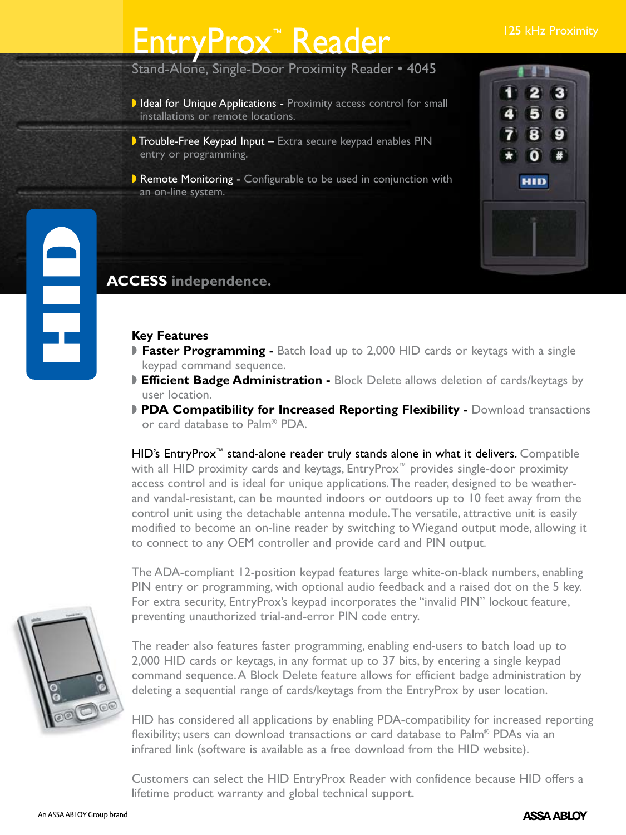# EntryProx™ Reader <sup>125</sup> kHz Proximity

Stand-Alone, Single-Door Proximity Reader • 4045

- I Ideal for Unique Applications Proximity access control for small installations or remote locations.
- Trouble-Free Keypad Input Extra secure keypad enables PIN entry or programming.
- Remote Monitoring Configurable to be used in conjunction with an on-line system.



## **ACCESS independence.**

## **Key Features**

- **Faster Programming -** Batch load up to 2,000 HID cards or keytags with a single keypad command sequence.
- **Efficient Badge Administration -** Block Delete allows deletion of cards/keytags by user location.
- **PDA Compatibility for Increased Reporting Flexibility -** Download transactions or card database to Palm® PDA.

HID's EntryProx<sup>™</sup> stand-alone reader truly stands alone in what it delivers. Compatible with all HID proximity cards and keytags, EntryProx™ provides single-door proximity access control and is ideal for unique applications.The reader, designed to be weatherand vandal-resistant, can be mounted indoors or outdoors up to 10 feet away from the control unit using the detachable antenna module.The versatile, attractive unit is easily modified to become an on-line reader by switching to Wiegand output mode, allowing it to connect to any OEM controller and provide card and PIN output.

The ADA-compliant 12-position keypad features large white-on-black numbers, enabling PIN entry or programming, with optional audio feedback and a raised dot on the 5 key. For extra security, EntryProx's keypad incorporates the "invalid PIN" lockout feature, preventing unauthorized trial-and-error PIN code entry.

The reader also features faster programming, enabling end-users to batch load up to 2,000 HID cards or keytags, in any format up to 37 bits, by entering a single keypad command sequence.A Block Delete feature allows for efficient badge administration by deleting a sequential range of cards/keytags from the EntryProx by user location.

HID has considered all applications by enabling PDA-compatibility for increased reporting flexibility; users can download transactions or card database to Palm® PDAs via an infrared link (software is available as a free download from the HID website).

Customers can select the HID EntryProx Reader with confidence because HID offers a lifetime product warranty and global technical support.



E